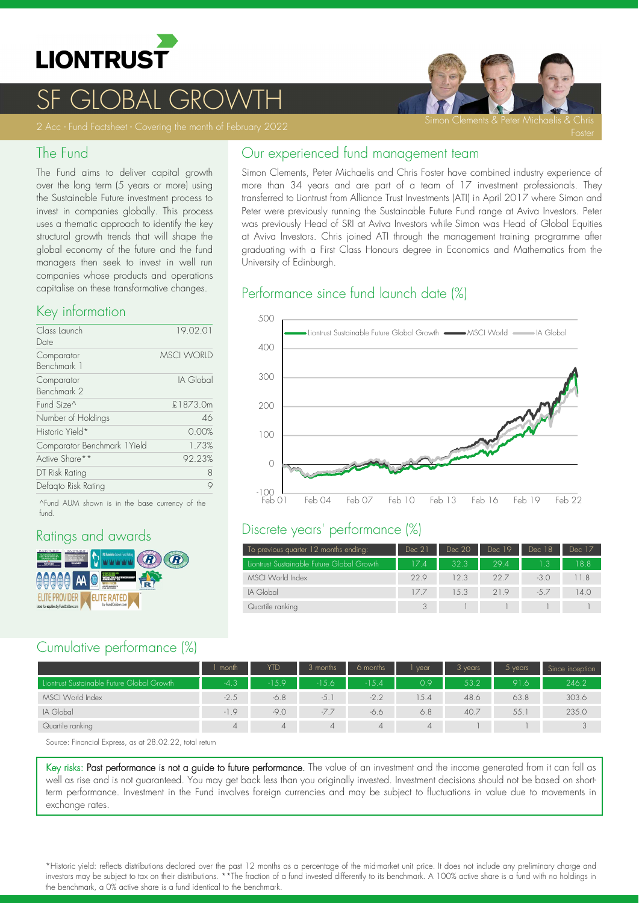

# **OBAL**

#### The Fund

The Fund aims to deliver capital growth over the long term (5 years or more) using the Sustainable Future investment process to invest in companies globally. This process uses a thematic approach to identify the key structural growth trends that will shape the global economy of the future and the fund managers then seek to invest in well run companies whose products and operations capitalise on these transformative changes.

#### Key information

| Class Launch                 | 19.02.01          |
|------------------------------|-------------------|
| Date                         |                   |
| Comparator                   | <b>MSCI WORID</b> |
| Benchmark 1                  |                   |
| Comparator                   | IA Global         |
| Benchmark 2                  |                   |
| Fund Size <sup>^</sup>       | £1873.0m          |
| Number of Holdings           | 46                |
| Historic Yield*              | 0.00%             |
| Comparator Benchmark 1 Yield | 1.73%             |
| Active Share**               | 92.23%            |
| DT Risk Rating               | 8                 |
| Defagto Risk Rating          |                   |
|                              |                   |

^Fund AUM shown is in the base currency of the fund.

### Ratings and awards



### Cumulative performance (%)

|                                            | month  | <b>YTD</b> | 3 months       | 6 months       | vear           | 3 years | $5$ years | Since inception |
|--------------------------------------------|--------|------------|----------------|----------------|----------------|---------|-----------|-----------------|
| Liontrust Sustainable Future Global Growth | $-4.3$ | $-15.9$    | $-15.6$        | $-15.4$        | 0.9            | 53.2    | 91.6      | 246.2           |
| MSCI World Index                           | $-2.5$ | $-6.8$     | $-5.$          | $-2.2$         | 5.4            | 48.6    | 63.8      | 303.6           |
| IA Global                                  | $-1.9$ | $-9.0$     | $-7.7$         | -6.6           | 6.8            | 40.7    | 55.       | 235.0           |
| Quartile ranking                           | 4      | 4          | $\overline{4}$ | $\overline{4}$ | $\overline{4}$ |         |           | $\sim$          |

Source: Financial Express, as at 28.02.22, total return

Key risks: Past performance is not a guide to future performance. The value of an investment and the income generated from it can fall as well as rise and is not guaranteed. You may get back less than you originally invested. Investment decisions should not be based on short term performance. Investment in the Fund involves foreign currencies and may be subject to fluctuations in value due to movements in exchange rates.

Our experienced fund management team

Simon Clements, Peter Michaelis and Chris Foster have combined industry experience of more than 34 years and are part of a team of 17 investment professionals. They transferred to Liontrust from Alliance Trust Investments (ATI) in April 2017 where Simon and Peter were previously running the Sustainable Future Fund range at Aviva Investors. Peter was previously Head of SRI at Aviva Investors while Simon was Head of Global Equities at Aviva Investors. Chris joined ATI through the management training programme after graduating with a First Class Honours degree in Economics and Mathematics from the University of Edinburgh.

### Performance since fund launch date (%)



#### Discrete years' performance (%)

| To previous quarter 12 months ending:      | Dec 21 | Dec 20 | Dec 19 | Dec 18 | Dec 17 |
|--------------------------------------------|--------|--------|--------|--------|--------|
| Liontrust Sustainable Future Global Growth | 17.47  | 32.3   | 294    |        | 18.8   |
| MSCI World Index                           | 229    | 12.3   | 22.7   | $-3.0$ | 11.8   |
| IA Global                                  | 177    | 1.5.3  | 219    | $-57$  | 14.0   |
| Quartile ranking                           |        |        |        |        |        |

\*Historic yield: reflects distributions declared over the past 12 months as a percentage of the midmarket unit price. It does not include any preliminary charge and investors may be subject to tax on their distributions. \*\*The fraction of a fund invested differently to its benchmark. A 100% active share is a fund with no holdings in the benchmark, a 0% active share is a fund identical to the benchmark.